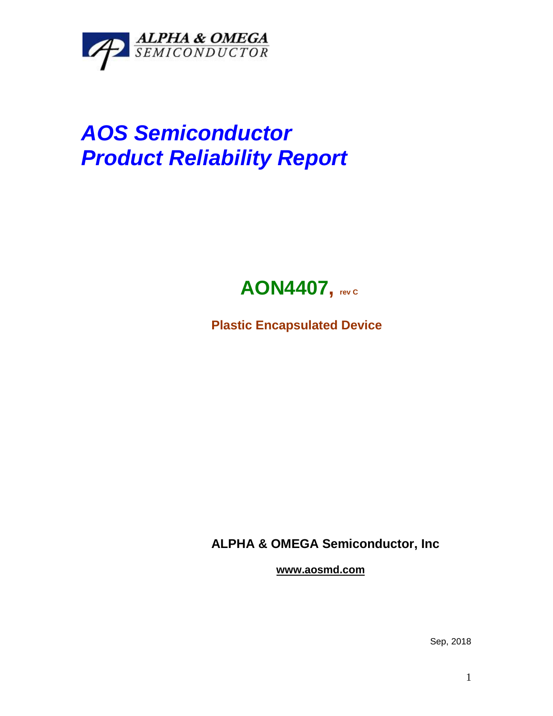

## *AOS Semiconductor Product Reliability Report*



**Plastic Encapsulated Device**

**ALPHA & OMEGA Semiconductor, Inc**

**www.aosmd.com**

Sep, 2018